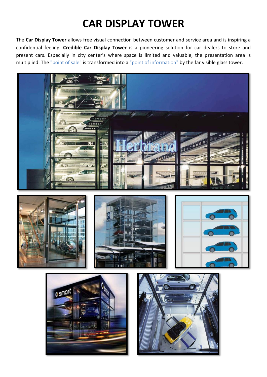# **CAR DISPLAY TOWER**

The **Car Display Tower** allows free visual connection between customer and service area and is inspiring a confidential feeling. **Credible Car Display Tower** is a pioneering solution for car dealers to store and present cars. Especially in city center's where space is limited and valuable, the presentation area is multiplied. The "point of sale" is transformed into a "point of information" by the far visible glass tower.





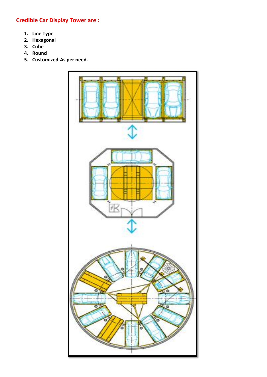# **Credible Car Display Tower are :**

- **1. Line Type**
- **2. Hexagonal**
- **3. Cube**
- **4. Round**
- **5. Customized-As per need.**

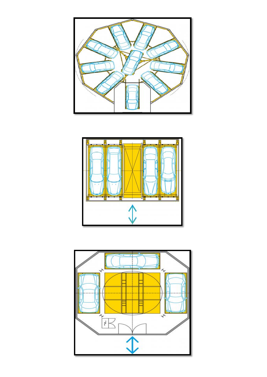